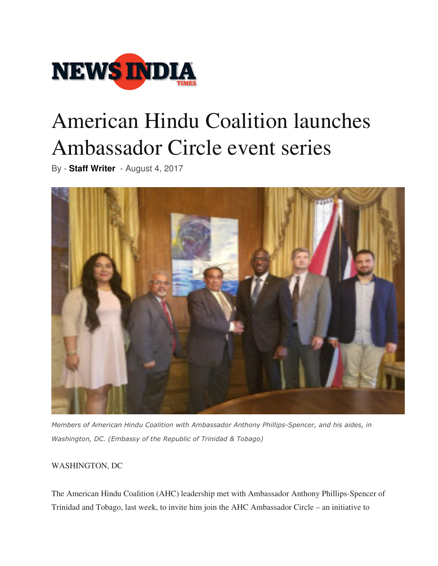

## American Hindu Coalition launches Ambassador Circle event series

By - **Staff Writer** - August 4, 2017



*Members of American Hindu Coalition with Ambassador Anthony Phillips-Spencer, and his aides, in Washington, DC. (Embassy of the Republic of Trinidad & Tobago)*

## WASHINGTON, DC

The American Hindu Coalition (AHC) leadership met with Ambassador Anthony Phillips-Spencer of Trinidad and Tobago, last week, to invite him join the AHC Ambassador Circle – an initiative to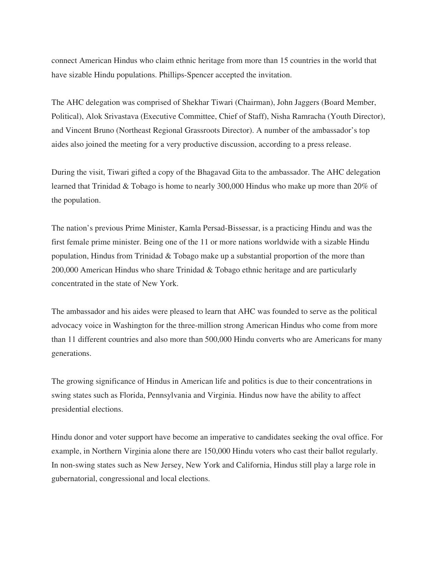connect American Hindus who claim ethnic heritage from more than 15 countries in the world that have sizable Hindu populations. Phillips-Spencer accepted the invitation.

The AHC delegation was comprised of Shekhar Tiwari (Chairman), John Jaggers (Board Member, Political), Alok Srivastava (Executive Committee, Chief of Staff), Nisha Ramracha (Youth Director), and Vincent Bruno (Northeast Regional Grassroots Director). A number of the ambassador's top aides also joined the meeting for a very productive discussion, according to a press release.

During the visit, Tiwari gifted a copy of the Bhagavad Gita to the ambassador. The AHC delegation learned that Trinidad & Tobago is home to nearly 300,000 Hindus who make up more than 20% of the population.

The nation's previous Prime Minister, Kamla Persad-Bissessar, is a practicing Hindu and was the first female prime minister. Being one of the 11 or more nations worldwide with a sizable Hindu population, Hindus from Trinidad & Tobago make up a substantial proportion of the more than 200,000 American Hindus who share Trinidad & Tobago ethnic heritage and are particularly concentrated in the state of New York.

The ambassador and his aides were pleased to learn that AHC was founded to serve as the political advocacy voice in Washington for the three-million strong American Hindus who come from more than 11 different countries and also more than 500,000 Hindu converts who are Americans for many generations.

The growing significance of Hindus in American life and politics is due to their concentrations in swing states such as Florida, Pennsylvania and Virginia. Hindus now have the ability to affect presidential elections.

Hindu donor and voter support have become an imperative to candidates seeking the oval office. For example, in Northern Virginia alone there are 150,000 Hindu voters who cast their ballot regularly. In non-swing states such as New Jersey, New York and California, Hindus still play a large role in gubernatorial, congressional and local elections.